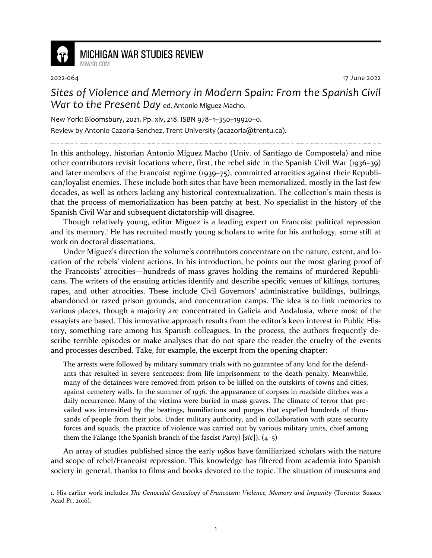

## **MICHIGAN WAR STUDIES REVIEW** MiWSR COM

2022-064 17 June 2022

*Sites of Violence and Memory in Modern Spain: From the Spanish Civil War to the Present Day* ed. Antonio Míguez Macho.

New York: Bloomsbury, 2021. Pp. xiv, 218. ISBN 978–1–350–19920–0. Review by Antonio Cazorla-Sanchez, Trent University (acazorla@trentu.ca).

In this anthology, historian Antonio Míguez Macho (Univ. of Santiago de Compostela) and nine other contributors revisit locations where, first, the rebel side in the Spanish Civil War (1936–39) and later members of the Francoist regime (1939–75), committed atrocities against their Republican/loyalist enemies. These include both sites that have been memorialized, mostly in the last few decades, as well as others lacking any historical contextualization. The collection's main thesis is that the process of memorialization has been patchy at best. No specialist in the history of the Spanish Civil War and subsequent dictatorship will disagree.

Though relatively young, editor Míguez is a leading expert on Francoist political repression and its memory.<sup>1</sup> He has recruited mostly young scholars to write for his anthology, some still at work on doctoral dissertations.

Under Míguez's direction the volume's contributors concentrate on the nature, extent, and location of the rebels' violent actions. In his introduction, he points out the most glaring proof of the Francoists' atrocities—hundreds of mass graves holding the remains of murdered Republicans. The writers of the ensuing articles identify and describe specific venues of killings, tortures, rapes, and other atrocities. These include Civil Governors' administrative buildings, bullrings, abandoned or razed prison grounds, and concentration camps. The idea is to link memories to various places, though a majority are concentrated in Galicia and Andalusia, where most of the essayists are based. This innovative approach results from the editor's keen interest in Public History, something rare among his Spanish colleagues. In the process, the authors frequently describe terrible episodes or make analyses that do not spare the reader the cruelty of the events and processes described. Take, for example, the excerpt from the opening chapter:

The arrests were followed by military summary trials with no guarantee of any kind for the defendants that resulted in severe sentences: from life imprisonment to the death penalty. Meanwhile, many of the detainees were removed from prison to be killed on the outskirts of towns and cities, against cemetery walls. In the summer of 1936, the appearance of corpses in roadside ditches was a daily occurrence. Many of the victims were buried in mass graves. The climate of terror that prevailed was intensified by the beatings, humiliations and purges that expelled hundreds of thousands of people from their jobs. Under military authority, and in collaboration with state security forces and squads, the practice of violence was carried out by various military units, chief among them the Falange (the Spanish branch of the fascist Party) [*sic*]). (4–5)

An array of studies published since the early 1980s have familiarized scholars with the nature and scope of rebel/Francoist repression. This knowledge has filtered from academia into Spanish society in general, thanks to films and books devoted to the topic. The situation of museums and

<sup>1.</sup> His earlier work includes *The Genocidal Genealogy of Francoism: Violence, Memory and Impunity* (Toronto: Sussex Acad Pr, 2016).